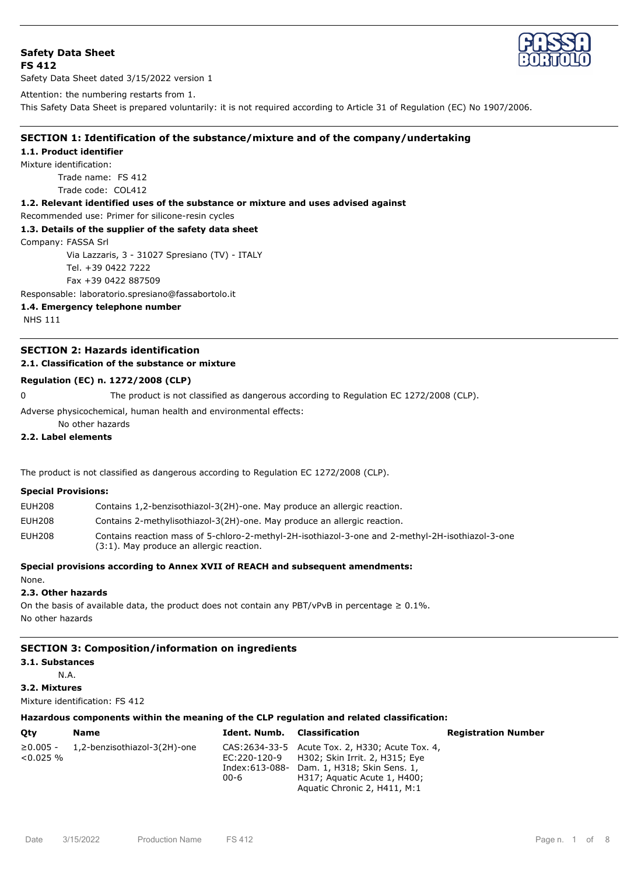# **Safety Data Sheet FS 412**



Safety Data Sheet dated 3/15/2022 version 1

Attention: the numbering restarts from 1.

This Safety Data Sheet is prepared voluntarily: it is not required according to Article 31 of Regulation (EC) No 1907/2006.

# **SECTION 1: Identification of the substance/mixture and of the company/undertaking**

### **1.1. Product identifier**

Mixture identification:

Trade name: FS 412 Trade code: COL412

**1.2. Relevant identified uses of the substance or mixture and uses advised against**

Recommended use: Primer for silicone-resin cycles

## **1.3. Details of the supplier of the safety data sheet**

Company: FASSA Srl

Via Lazzaris, 3 - 31027 Spresiano (TV) - ITALY Tel. +39 0422 7222 Fax +39 0422 887509

Responsable: laboratorio.spresiano@fassabortolo.it

**1.4. Emergency telephone number**

NHS 111

# **SECTION 2: Hazards identification**

# **2.1. Classification of the substance or mixture**

# **Regulation (EC) n. 1272/2008 (CLP)**

0 The product is not classified as dangerous according to Regulation EC 1272/2008 (CLP).

Adverse physicochemical, human health and environmental effects:

No other hazards

# **2.2. Label elements**

The product is not classified as dangerous according to Regulation EC 1272/2008 (CLP).

## **Special Provisions:**

| <b>EUH208</b> | Contains 1,2-benzisothiazol-3(2H)-one. May produce an allergic reaction.                                                                     |
|---------------|----------------------------------------------------------------------------------------------------------------------------------------------|
| <b>EUH208</b> | Contains 2-methylisothiazol-3(2H)-one. May produce an allergic reaction.                                                                     |
| <b>EUH208</b> | Contains reaction mass of 5-chloro-2-methyl-2H-isothiazol-3-one and 2-methyl-2H-isothiazol-3-one<br>(3:1). May produce an allergic reaction. |

**Special provisions according to Annex XVII of REACH and subsequent amendments:**

#### None.

## **2.3. Other hazards**

On the basis of available data, the product does not contain any PBT/vPvB in percentage  $\geq 0.1\%$ . No other hazards

# **SECTION 3: Composition/information on ingredients**

# **3.1. Substances**

N.A.

**3.2. Mixtures**

Mixture identification: FS 412

# **Hazardous components within the meaning of the CLP regulation and related classification:**

| Oty                            | Name                         | <b>Ident. Numb.</b> Classification |                                                                                                                                                                                                               | <b>Registration Number</b> |
|--------------------------------|------------------------------|------------------------------------|---------------------------------------------------------------------------------------------------------------------------------------------------------------------------------------------------------------|----------------------------|
| $\geq 0.005 -$<br>$< 0.025 \%$ | 1,2-benzisothiazol-3(2H)-one | 00-6                               | CAS: 2634-33-5 Acute Tox. 2, H330; Acute Tox. 4,<br>EC:220-120-9 H302; Skin Irrit. 2, H315; Eye<br>Index:613-088- Dam. 1, H318; Skin Sens. 1,<br>H317; Aguatic Acute 1, H400;<br>Aquatic Chronic 2, H411, M:1 |                            |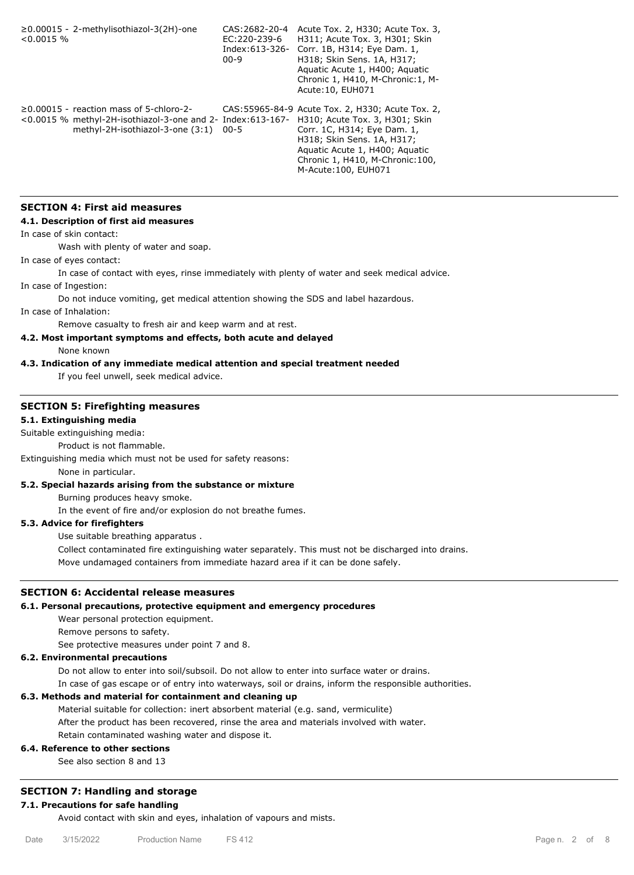≥0.00015 - 2-methylisothiazol-3(2H)-one CAS:2682-20-4  $< 0.0015$  % EC:220-239-6 Index:613-326- Corr. 1B, H314; Eye Dam. 1, 00-9 CAS: 2682-20-4 Acute Tox. 2, H330; Acute Tox. 3, H311; Acute Tox. 3, H301; Skin H318; Skin Sens. 1A, H317; Aquatic Acute 1, H400; Aquatic Chronic 1, H410, M-Chronic:1, M-Acute:10, EUH071 ≥0.00015 - reaction mass of 5-chloro-2- <0.0015 % methyl-2H-isothiazol-3-one and 2- Index:613-167- H310; Acute Tox. 3, H301; Skin methyl-2H-isothiazol-3-one (3:1) 00-5 CAS:55965-84-9 Acute Tox. 2, H330; Acute Tox. 2, Corr. 1C, H314; Eye Dam. 1, H318; Skin Sens. 1A, H317; Aquatic Acute 1, H400; Aquatic Chronic 1, H410, M-Chronic:100, M-Acute:100, EUH071

# **SECTION 4: First aid measures**

#### **4.1. Description of first aid measures**

In case of skin contact:

Wash with plenty of water and soap.

In case of eyes contact:

In case of contact with eyes, rinse immediately with plenty of water and seek medical advice.

In case of Ingestion:

Do not induce vomiting, get medical attention showing the SDS and label hazardous.

In case of Inhalation:

Remove casualty to fresh air and keep warm and at rest.

# **4.2. Most important symptoms and effects, both acute and delayed**

None known

### **4.3. Indication of any immediate medical attention and special treatment needed**

If you feel unwell, seek medical advice.

# **SECTION 5: Firefighting measures**

# **5.1. Extinguishing media**

Suitable extinguishing media:

Product is not flammable.

Extinguishing media which must not be used for safety reasons:

None in particular.

# **5.2. Special hazards arising from the substance or mixture**

Burning produces heavy smoke.

In the event of fire and/or explosion do not breathe fumes.

# **5.3. Advice for firefighters**

Use suitable breathing apparatus .

Collect contaminated fire extinguishing water separately. This must not be discharged into drains.

Move undamaged containers from immediate hazard area if it can be done safely.

## **SECTION 6: Accidental release measures**

# **6.1. Personal precautions, protective equipment and emergency procedures**

Wear personal protection equipment.

Remove persons to safety.

See protective measures under point 7 and 8.

# **6.2. Environmental precautions**

Do not allow to enter into soil/subsoil. Do not allow to enter into surface water or drains.

In case of gas escape or of entry into waterways, soil or drains, inform the responsible authorities.

# **6.3. Methods and material for containment and cleaning up**

Material suitable for collection: inert absorbent material (e.g. sand, vermiculite) After the product has been recovered, rinse the area and materials involved with water. Retain contaminated washing water and dispose it.

# **6.4. Reference to other sections**

See also section 8 and 13

# **SECTION 7: Handling and storage**

# **7.1. Precautions for safe handling**

Avoid contact with skin and eyes, inhalation of vapours and mists.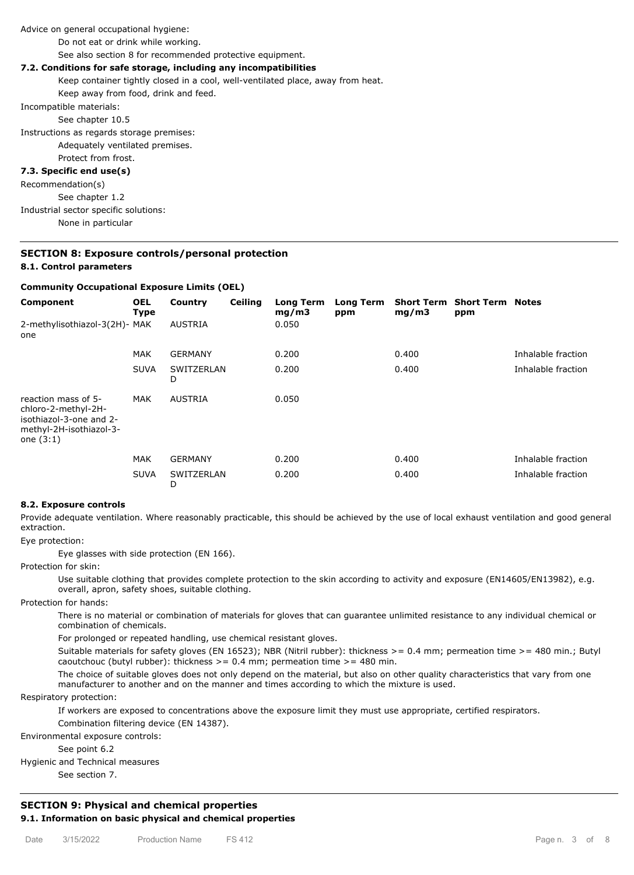Advice on general occupational hygiene:

Do not eat or drink while working.

See also section 8 for recommended protective equipment.

## **7.2. Conditions for safe storage, including any incompatibilities**

Keep container tightly closed in a cool, well-ventilated place, away from heat.

Keep away from food, drink and feed.

Incompatible materials:

See chapter 10.5

Instructions as regards storage premises: Adequately ventilated premises. Protect from frost.

#### **7.3. Specific end use(s)**

Recommendation(s) See chapter 1.2 Industrial sector specific solutions: None in particular

# **SECTION 8: Exposure controls/personal protection 8.1. Control parameters**

#### **Community Occupational Exposure Limits (OEL)**

| Component                                                                                                       | <b>OEL</b><br><b>Type</b> | Country         | <b>Ceiling</b> | <b>Long Term</b><br>mg/m3 | <b>Long Term</b><br>ppm | <b>Short Term</b><br>mg/m3 | <b>Short Term Notes</b><br>ppm |                    |
|-----------------------------------------------------------------------------------------------------------------|---------------------------|-----------------|----------------|---------------------------|-------------------------|----------------------------|--------------------------------|--------------------|
| 2-methylisothiazol-3(2H)- MAK<br>one                                                                            |                           | <b>AUSTRIA</b>  |                | 0.050                     |                         |                            |                                |                    |
|                                                                                                                 | <b>MAK</b>                | <b>GERMANY</b>  |                | 0.200                     |                         | 0.400                      |                                | Inhalable fraction |
|                                                                                                                 | <b>SUVA</b>               | SWITZERLAN<br>D |                | 0.200                     |                         | 0.400                      |                                | Inhalable fraction |
| reaction mass of 5-<br>chloro-2-methyl-2H-<br>isothiazol-3-one and 2-<br>methyl-2H-isothiazol-3-<br>one $(3:1)$ | <b>MAK</b>                | <b>AUSTRIA</b>  |                | 0.050                     |                         |                            |                                |                    |
|                                                                                                                 | <b>MAK</b>                | <b>GERMANY</b>  |                | 0.200                     |                         | 0.400                      |                                | Inhalable fraction |
|                                                                                                                 | <b>SUVA</b>               | SWITZERLAN<br>D |                | 0.200                     |                         | 0.400                      |                                | Inhalable fraction |

#### **8.2. Exposure controls**

Provide adequate ventilation. Where reasonably practicable, this should be achieved by the use of local exhaust ventilation and good general extraction.

Eye protection:

Eye glasses with side protection (EN 166).

Protection for skin:

Use suitable clothing that provides complete protection to the skin according to activity and exposure (EN14605/EN13982), e.g. overall, apron, safety shoes, suitable clothing.

Protection for hands:

There is no material or combination of materials for gloves that can guarantee unlimited resistance to any individual chemical or combination of chemicals.

For prolonged or repeated handling, use chemical resistant gloves.

Suitable materials for safety gloves (EN 16523); NBR (Nitril rubber): thickness  $> = 0.4$  mm; permeation time  $> = 480$  min.; Butyl caoutchouc (butyl rubber): thickness  $> = 0.4$  mm; permeation time  $> = 480$  min.

The choice of suitable gloves does not only depend on the material, but also on other quality characteristics that vary from one manufacturer to another and on the manner and times according to which the mixture is used.

Respiratory protection:

If workers are exposed to concentrations above the exposure limit they must use appropriate, certified respirators. Combination filtering device (EN 14387).

Environmental exposure controls:

See point 6.2

Hygienic and Technical measures

See section 7.

# **SECTION 9: Physical and chemical properties 9.1. Information on basic physical and chemical properties**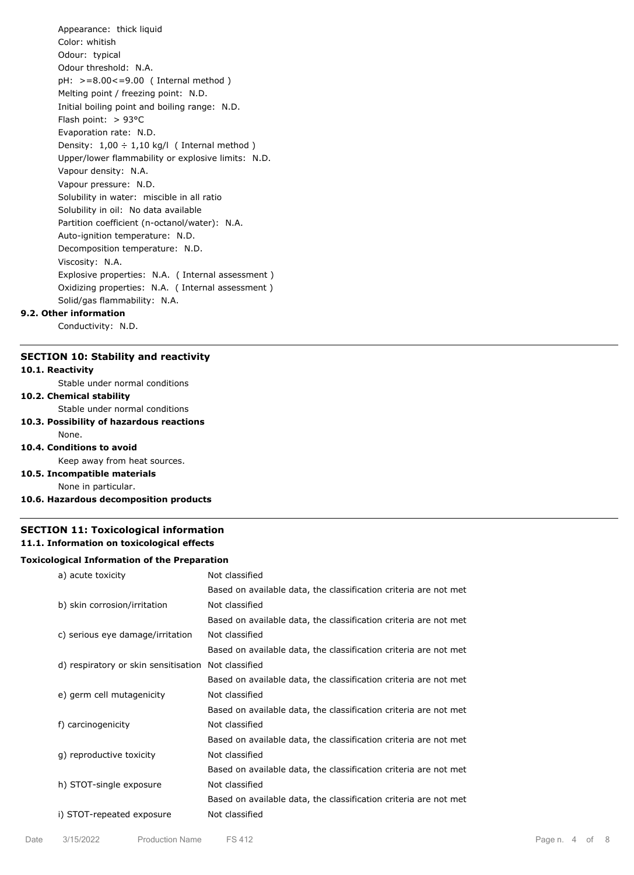Appearance: thick liquid Color: whitish Odour: typical Odour threshold: N.A. pH: >=8.00<=9.00 ( Internal method ) Melting point / freezing point: N.D. Initial boiling point and boiling range: N.D. Flash point: > 93°C Evaporation rate: N.D. Density:  $1,00 \div 1,10$  kg/l (Internal method) Upper/lower flammability or explosive limits: N.D. Vapour density: N.A. Vapour pressure: N.D. Solubility in water: miscible in all ratio Solubility in oil: No data available Partition coefficient (n-octanol/water): N.A. Auto-ignition temperature: N.D. Decomposition temperature: N.D. Viscosity: N.A. Explosive properties: N.A. ( Internal assessment ) Oxidizing properties: N.A. ( Internal assessment ) Solid/gas flammability: N.A.

# **9.2. Other information**

Conductivity: N.D.

### **SECTION 10: Stability and reactivity**

### **10.1. Reactivity**

Stable under normal conditions

# **10.2. Chemical stability**

Stable under normal conditions

# **10.3. Possibility of hazardous reactions**

## None. **10.4. Conditions to avoid**

Keep away from heat sources.

- **10.5. Incompatible materials** None in particular.
- **10.6. Hazardous decomposition products**

# **SECTION 11: Toxicological information 11.1. Information on toxicological effects**

#### **Toxicological Information of the Preparation**

| a) acute toxicity                    | Not classified                                                   |
|--------------------------------------|------------------------------------------------------------------|
|                                      | Based on available data, the classification criteria are not met |
| b) skin corrosion/irritation         | Not classified                                                   |
|                                      | Based on available data, the classification criteria are not met |
| c) serious eye damage/irritation     | Not classified                                                   |
|                                      | Based on available data, the classification criteria are not met |
| d) respiratory or skin sensitisation | Not classified                                                   |
|                                      | Based on available data, the classification criteria are not met |
| e) germ cell mutagenicity            | Not classified                                                   |
|                                      | Based on available data, the classification criteria are not met |
| f) carcinogenicity                   | Not classified                                                   |
|                                      | Based on available data, the classification criteria are not met |
| g) reproductive toxicity             | Not classified                                                   |
|                                      | Based on available data, the classification criteria are not met |
| h) STOT-single exposure              | Not classified                                                   |
|                                      | Based on available data, the classification criteria are not met |
| i) STOT-repeated exposure            | Not classified                                                   |
|                                      |                                                                  |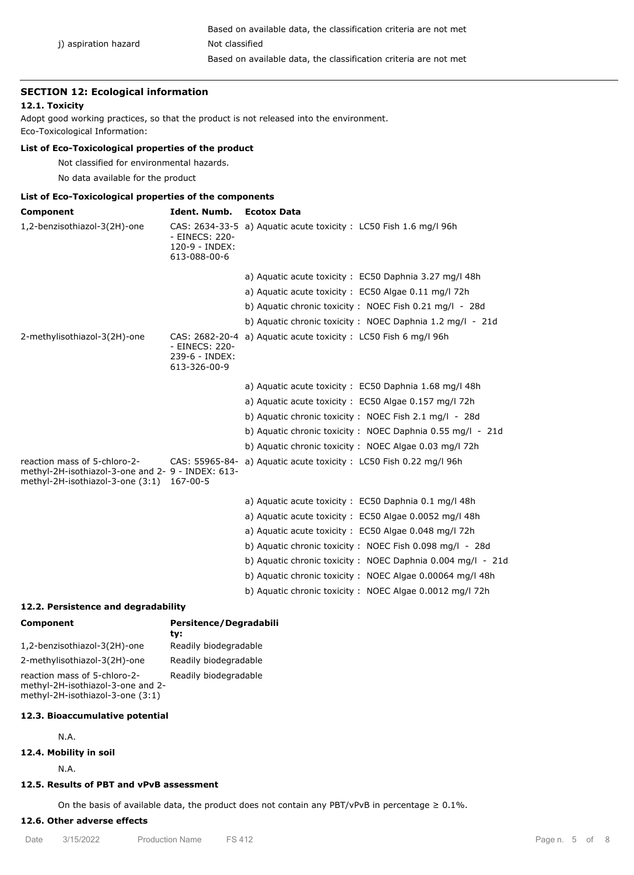## **SECTION 12: Ecological information**

### **12.1. Toxicity**

Adopt good working practices, so that the product is not released into the environment. Eco-Toxicological Information:

# **List of Eco-Toxicological properties of the product**

Not classified for environmental hazards.

No data available for the product

# **List of Eco-Toxicological properties of the components**

| Component                                                                                                                      | Ident. Numb.                                     | <b>Ecotox Data</b>                                                |
|--------------------------------------------------------------------------------------------------------------------------------|--------------------------------------------------|-------------------------------------------------------------------|
| 1,2-benzisothiazol-3(2H)-one                                                                                                   | - EINECS: 220-<br>120-9 - INDEX:<br>613-088-00-6 | CAS: 2634-33-5 a) Aquatic acute toxicity: LC50 Fish 1.6 mg/l 96h  |
|                                                                                                                                |                                                  | a) Aquatic acute toxicity: EC50 Daphnia 3.27 mg/l 48h             |
|                                                                                                                                |                                                  | a) Aquatic acute toxicity: EC50 Algae 0.11 mg/l 72h               |
|                                                                                                                                |                                                  | b) Aquatic chronic toxicity: NOEC Fish 0.21 mg/l - 28d            |
|                                                                                                                                |                                                  | b) Aquatic chronic toxicity : NOEC Daphnia 1.2 mg/l - 21d         |
| 2-methylisothiazol-3(2H)-one                                                                                                   | - EINECS: 220-<br>239-6 - INDEX:<br>613-326-00-9 | CAS: 2682-20-4 a) Aguatic acute toxicity: LC50 Fish 6 mg/l 96h    |
|                                                                                                                                |                                                  | a) Aguatic acute toxicity: EC50 Daphnia 1.68 mg/l 48h             |
|                                                                                                                                |                                                  | a) Aquatic acute toxicity: EC50 Algae 0.157 mg/l 72h              |
|                                                                                                                                |                                                  | b) Aquatic chronic toxicity: NOEC Fish 2.1 mg/l - 28d             |
|                                                                                                                                |                                                  | b) Aquatic chronic toxicity: NOEC Daphnia 0.55 mg/l - 21d         |
|                                                                                                                                |                                                  | b) Aquatic chronic toxicity: NOEC Algae 0.03 mg/l 72h             |
| reaction mass of 5-chloro-2-<br>methyl-2H-isothiazol-3-one and 2- 9 - INDEX: 613-<br>methyl-2H-isothiazol-3-one (3:1) 167-00-5 |                                                  | CAS: 55965-84- a) Aquatic acute toxicity: LC50 Fish 0.22 mg/l 96h |
|                                                                                                                                |                                                  | a) Aquatic acute toxicity: EC50 Daphnia 0.1 mg/l 48h              |
|                                                                                                                                |                                                  | a) Aquatic acute toxicity: EC50 Algae 0.0052 mg/l 48h             |
|                                                                                                                                |                                                  | a) Aquatic acute toxicity: EC50 Algae 0.048 mg/l 72h              |
|                                                                                                                                |                                                  | b) Aquatic chronic toxicity: NOEC Fish 0.098 mg/l - 28d           |
|                                                                                                                                |                                                  | b) Aquatic chronic toxicity : NOEC Daphnia 0.004 mg/l - 21d       |
|                                                                                                                                |                                                  | b) Aquatic chronic toxicity: NOEC Algae 0.00064 mg/l 48h          |
|                                                                                                                                |                                                  | b) Aquatic chronic toxicity : NOEC Algae 0.0012 mg/l 72h          |

## **12.2. Persistence and degradability**

| Component                                                                                             | Persitence/Degradabili<br>tv: |
|-------------------------------------------------------------------------------------------------------|-------------------------------|
| 1,2-benzisothiazol-3(2H)-one                                                                          | Readily biodegradable         |
| 2-methylisothiazol-3(2H)-one                                                                          | Readily biodegradable         |
| reaction mass of 5-chloro-2-<br>methyl-2H-isothiazol-3-one and 2-<br>methyl-2H-isothiazol-3-one (3:1) | Readily biodegradable         |

# **12.3. Bioaccumulative potential**

N.A.

#### **12.4. Mobility in soil**

N.A.

# **12.5. Results of PBT and vPvB assessment**

On the basis of available data, the product does not contain any PBT/vPvB in percentage  $\geq 0.1\%$ .

# **12.6. Other adverse effects**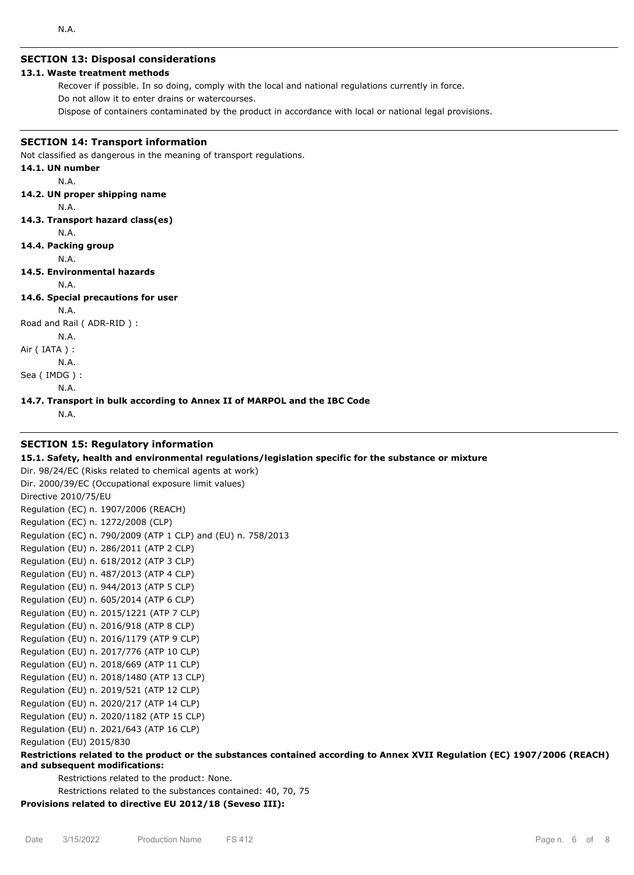# **SECTION 13: Disposal considerations**

# **13.1. Waste treatment methods**

Recover if possible. In so doing, comply with the local and national regulations currently in force. Do not allow it to enter drains or watercourses.

Dispose of containers contaminated by the product in accordance with local or national legal provisions.

# **SECTION 14: Transport information**

Not classified as dangerous in the meaning of transport regulations.

# **14.1. UN number**

N.A.

## **14.2. UN proper shipping name**

N.A.

- **14.3. Transport hazard class(es)**
	- N.A.
- **14.4. Packing group**
	- N.A.

## **14.5. Environmental hazards**

N.A.

**14.6. Special precautions for user**

N.A.

Road and Rail ( ADR-RID ) :

N.A.

Air ( IATA ) :

N.A.

Sea ( IMDG ) : N.A.

**14.7. Transport in bulk according to Annex II of MARPOL and the IBC Code**

N.A.

# **SECTION 15: Regulatory information**

## **15.1. Safety, health and environmental regulations/legislation specific for the substance or mixture**

Dir. 98/24/EC (Risks related to chemical agents at work) Dir. 2000/39/EC (Occupational exposure limit values) Directive 2010/75/EU Regulation (EC) n. 1907/2006 (REACH) Regulation (EC) n. 1272/2008 (CLP) Regulation (EC) n. 790/2009 (ATP 1 CLP) and (EU) n. 758/2013 Regulation (EU) n. 286/2011 (ATP 2 CLP) Regulation (EU) n. 618/2012 (ATP 3 CLP) Regulation (EU) n. 487/2013 (ATP 4 CLP) Regulation (EU) n. 944/2013 (ATP 5 CLP) Regulation (EU) n. 605/2014 (ATP 6 CLP) Regulation (EU) n. 2015/1221 (ATP 7 CLP) Regulation (EU) n. 2016/918 (ATP 8 CLP) Regulation (EU) n. 2016/1179 (ATP 9 CLP) Regulation (EU) n. 2017/776 (ATP 10 CLP) Regulation (EU) n. 2018/669 (ATP 11 CLP) Regulation (EU) n. 2018/1480 (ATP 13 CLP) Regulation (EU) n. 2019/521 (ATP 12 CLP) Regulation (EU) n. 2020/217 (ATP 14 CLP) Regulation (EU) n. 2020/1182 (ATP 15 CLP) Regulation (EU) n. 2021/643 (ATP 16 CLP) Regulation (EU) 2015/830 **Restrictions related to the product or the substances contained according to Annex XVII Regulation (EC) 1907/2006 (REACH)**

## **and subsequent modifications:**

Restrictions related to the product: None.

Restrictions related to the substances contained: 40, 70, 75

**Provisions related to directive EU 2012/18 (Seveso III):**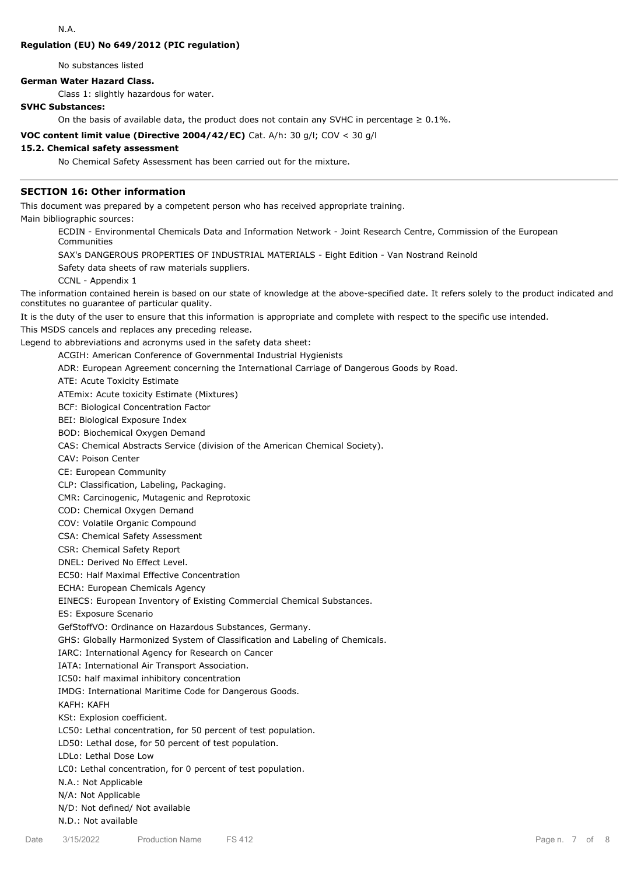### **Regulation (EU) No 649/2012 (PIC regulation)**

No substances listed

#### **German Water Hazard Class.**

Class 1: slightly hazardous for water.

# **SVHC Substances:**

On the basis of available data, the product does not contain any SVHC in percentage  $\geq 0.1\%$ .

**VOC content limit value (Directive 2004/42/EC)** Cat. A/h: 30 g/l; COV < 30 g/l

# **15.2. Chemical safety assessment**

No Chemical Safety Assessment has been carried out for the mixture.

#### **SECTION 16: Other information**

This document was prepared by a competent person who has received appropriate training.

Main bibliographic sources:

ECDIN - Environmental Chemicals Data and Information Network - Joint Research Centre, Commission of the European Communities

SAX's DANGEROUS PROPERTIES OF INDUSTRIAL MATERIALS - Eight Edition - Van Nostrand Reinold

Safety data sheets of raw materials suppliers.

CCNL - Appendix 1

The information contained herein is based on our state of knowledge at the above-specified date. It refers solely to the product indicated and constitutes no guarantee of particular quality.

It is the duty of the user to ensure that this information is appropriate and complete with respect to the specific use intended.

This MSDS cancels and replaces any preceding release.

Legend to abbreviations and acronyms used in the safety data sheet:

ACGIH: American Conference of Governmental Industrial Hygienists

ADR: European Agreement concerning the International Carriage of Dangerous Goods by Road.

ATE: Acute Toxicity Estimate

ATEmix: Acute toxicity Estimate (Mixtures)

BCF: Biological Concentration Factor

BEI: Biological Exposure Index

BOD: Biochemical Oxygen Demand

CAS: Chemical Abstracts Service (division of the American Chemical Society).

CAV: Poison Center

CE: European Community

CLP: Classification, Labeling, Packaging.

CMR: Carcinogenic, Mutagenic and Reprotoxic

COD: Chemical Oxygen Demand

COV: Volatile Organic Compound

CSA: Chemical Safety Assessment

CSR: Chemical Safety Report

DNEL: Derived No Effect Level.

EC50: Half Maximal Effective Concentration

ECHA: European Chemicals Agency

EINECS: European Inventory of Existing Commercial Chemical Substances.

ES: Exposure Scenario

GefStoffVO: Ordinance on Hazardous Substances, Germany.

GHS: Globally Harmonized System of Classification and Labeling of Chemicals.

IARC: International Agency for Research on Cancer

IATA: International Air Transport Association.

IC50: half maximal inhibitory concentration

IMDG: International Maritime Code for Dangerous Goods.

KAFH: KAFH

KSt: Explosion coefficient.

LC50: Lethal concentration, for 50 percent of test population.

LD50: Lethal dose, for 50 percent of test population.

LDLo: Lethal Dose Low

LC0: Lethal concentration, for 0 percent of test population.

N.A.: Not Applicable

N/A: Not Applicable

N/D: Not defined/ Not available

N.D.: Not available